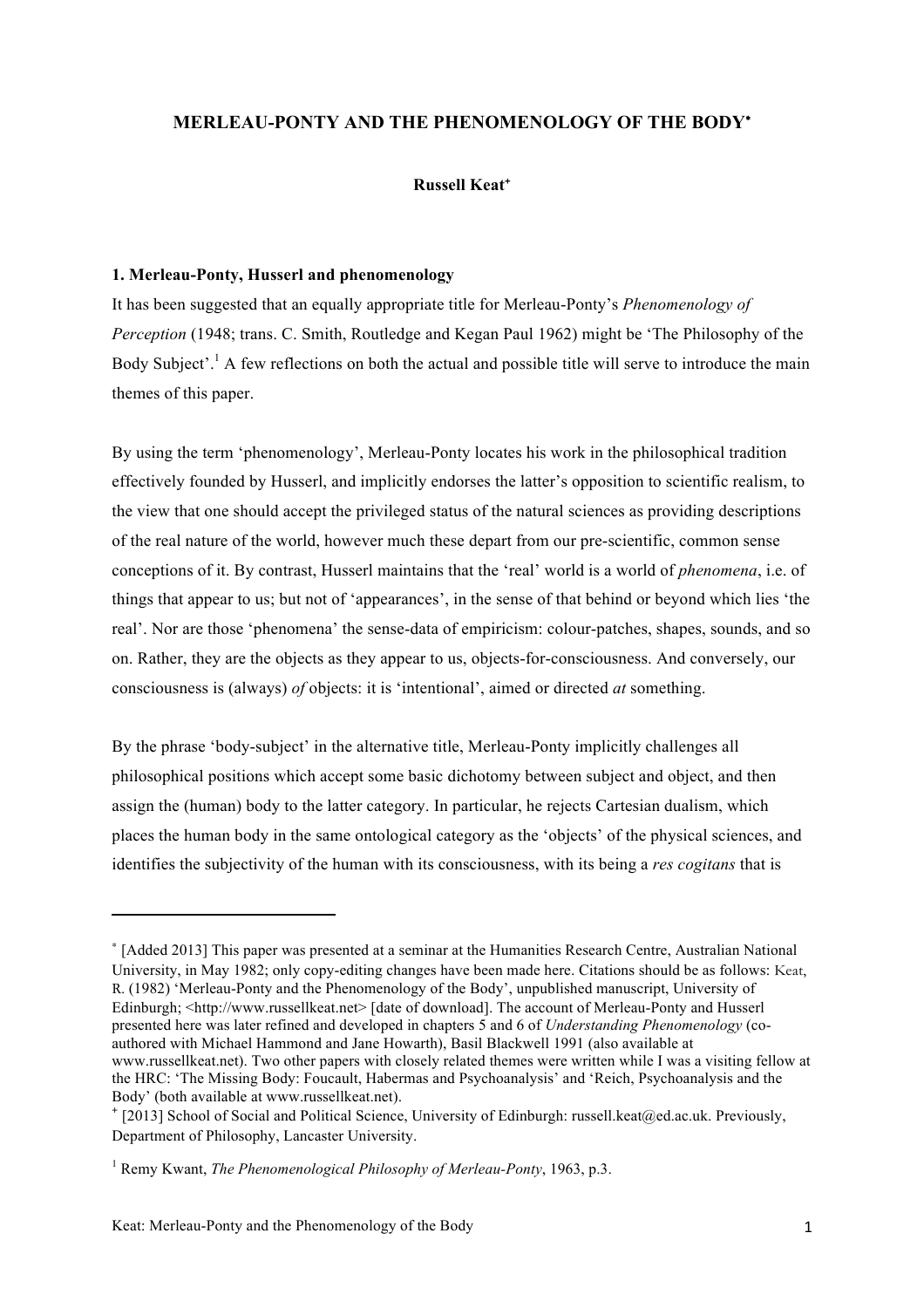# **MERLEAU-PONTY AND THE PHENOMENOLOGY OF THE BODY**<sup>∗</sup>

## **Russell Keat**<sup>+</sup>

### **1. Merleau-Ponty, Husserl and phenomenology**

It has been suggested that an equally appropriate title for Merleau-Ponty's *Phenomenology of Perception* (1948; trans. C. Smith, Routledge and Kegan Paul 1962) might be 'The Philosophy of the Body Subject'.<sup>1</sup> A few reflections on both the actual and possible title will serve to introduce the main themes of this paper.

By using the term 'phenomenology', Merleau-Ponty locates his work in the philosophical tradition effectively founded by Husserl, and implicitly endorses the latter's opposition to scientific realism, to the view that one should accept the privileged status of the natural sciences as providing descriptions of the real nature of the world, however much these depart from our pre-scientific, common sense conceptions of it. By contrast, Husserl maintains that the 'real' world is a world of *phenomena*, i.e. of things that appear to us; but not of 'appearances', in the sense of that behind or beyond which lies 'the real'. Nor are those 'phenomena' the sense-data of empiricism: colour-patches, shapes, sounds, and so on. Rather, they are the objects as they appear to us, objects-for-consciousness. And conversely, our consciousness is (always) *of* objects: it is 'intentional', aimed or directed *at* something.

By the phrase 'body-subject' in the alternative title, Merleau-Ponty implicitly challenges all philosophical positions which accept some basic dichotomy between subject and object, and then assign the (human) body to the latter category. In particular, he rejects Cartesian dualism, which places the human body in the same ontological category as the 'objects' of the physical sciences, and identifies the subjectivity of the human with its consciousness, with its being a *res cogitans* that is

<u> 1989 - Johann Stein, fransk politik (d. 1989)</u>

<sup>∗</sup> [Added 2013] This paper was presented at a seminar at the Humanities Research Centre, Australian National University, in May 1982; only copy-editing changes have been made here. Citations should be as follows: Keat, R. (1982) 'Merleau-Ponty and the Phenomenology of the Body', unpublished manuscript, University of Edinburgh: <http://www.russellkeat.net> [date of download]. The account of Merleau-Ponty and Husserl presented here was later refined and developed in chapters 5 and 6 of *Understanding Phenomenology* (coauthored with Michael Hammond and Jane Howarth), Basil Blackwell 1991 (also available at www.russellkeat.net). Two other papers with closely related themes were written while I was a visiting fellow at the HRC: 'The Missing Body: Foucault, Habermas and Psychoanalysis' and 'Reich, Psychoanalysis and the Body' (both available at www.russellkeat.net).

<sup>+</sup> [2013] School of Social and Political Science, University of Edinburgh: russell.keat@ed.ac.uk. Previously, Department of Philosophy, Lancaster University.

<sup>1</sup> Remy Kwant, *The Phenomenological Philosophy of Merleau-Ponty*, 1963, p.3.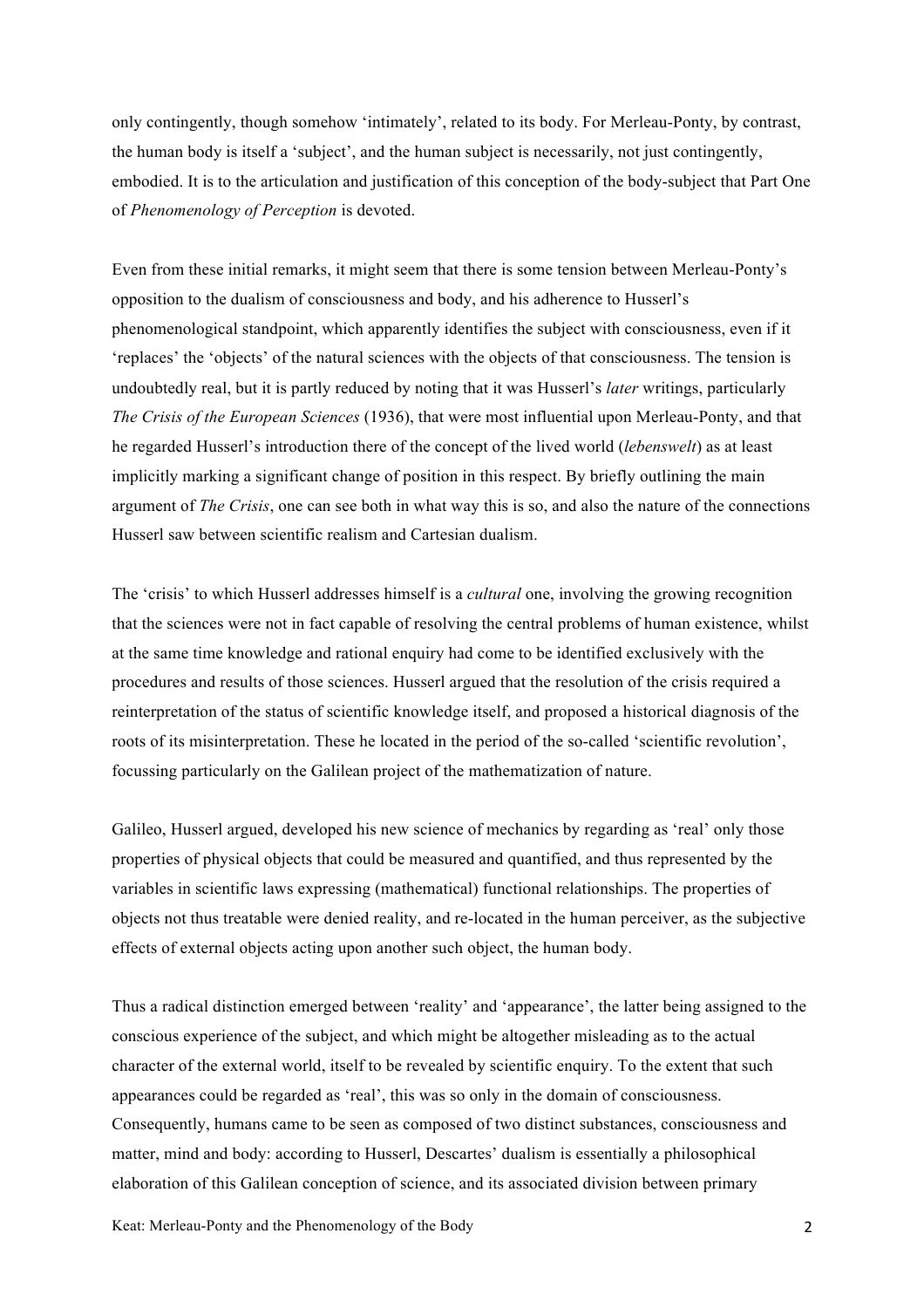only contingently, though somehow 'intimately', related to its body. For Merleau-Ponty, by contrast, the human body is itself a 'subject', and the human subject is necessarily, not just contingently, embodied. It is to the articulation and justification of this conception of the body-subject that Part One of *Phenomenology of Perception* is devoted.

Even from these initial remarks, it might seem that there is some tension between Merleau-Ponty's opposition to the dualism of consciousness and body, and his adherence to Husserl's phenomenological standpoint, which apparently identifies the subject with consciousness, even if it 'replaces' the 'objects' of the natural sciences with the objects of that consciousness. The tension is undoubtedly real, but it is partly reduced by noting that it was Husserl's *later* writings, particularly *The Crisis of the European Sciences* (1936), that were most influential upon Merleau-Ponty, and that he regarded Husserl's introduction there of the concept of the lived world (*lebenswelt*) as at least implicitly marking a significant change of position in this respect. By briefly outlining the main argument of *The Crisis*, one can see both in what way this is so, and also the nature of the connections Husserl saw between scientific realism and Cartesian dualism.

The 'crisis' to which Husserl addresses himself is a *cultural* one, involving the growing recognition that the sciences were not in fact capable of resolving the central problems of human existence, whilst at the same time knowledge and rational enquiry had come to be identified exclusively with the procedures and results of those sciences. Husserl argued that the resolution of the crisis required a reinterpretation of the status of scientific knowledge itself, and proposed a historical diagnosis of the roots of its misinterpretation. These he located in the period of the so-called 'scientific revolution', focussing particularly on the Galilean project of the mathematization of nature.

Galileo, Husserl argued, developed his new science of mechanics by regarding as 'real' only those properties of physical objects that could be measured and quantified, and thus represented by the variables in scientific laws expressing (mathematical) functional relationships. The properties of objects not thus treatable were denied reality, and re-located in the human perceiver, as the subjective effects of external objects acting upon another such object, the human body.

Thus a radical distinction emerged between 'reality' and 'appearance', the latter being assigned to the conscious experience of the subject, and which might be altogether misleading as to the actual character of the external world, itself to be revealed by scientific enquiry. To the extent that such appearances could be regarded as 'real', this was so only in the domain of consciousness. Consequently, humans came to be seen as composed of two distinct substances, consciousness and matter, mind and body: according to Husserl, Descartes' dualism is essentially a philosophical elaboration of this Galilean conception of science, and its associated division between primary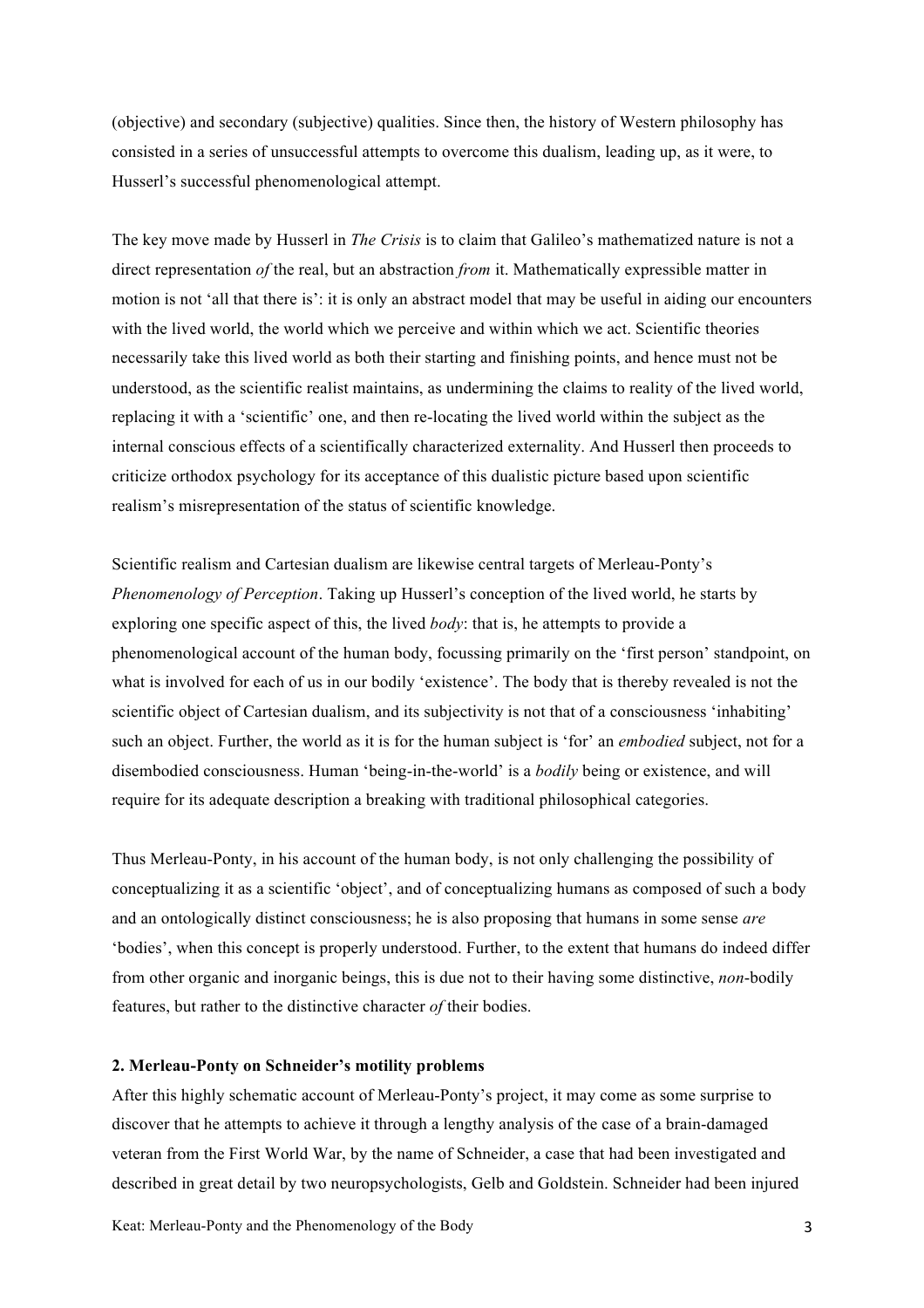(objective) and secondary (subjective) qualities. Since then, the history of Western philosophy has consisted in a series of unsuccessful attempts to overcome this dualism, leading up, as it were, to Husserl's successful phenomenological attempt.

The key move made by Husserl in *The Crisis* is to claim that Galileo's mathematized nature is not a direct representation *of* the real, but an abstraction *from* it. Mathematically expressible matter in motion is not 'all that there is': it is only an abstract model that may be useful in aiding our encounters with the lived world, the world which we perceive and within which we act. Scientific theories necessarily take this lived world as both their starting and finishing points, and hence must not be understood, as the scientific realist maintains, as undermining the claims to reality of the lived world, replacing it with a 'scientific' one, and then re-locating the lived world within the subject as the internal conscious effects of a scientifically characterized externality. And Husserl then proceeds to criticize orthodox psychology for its acceptance of this dualistic picture based upon scientific realism's misrepresentation of the status of scientific knowledge.

Scientific realism and Cartesian dualism are likewise central targets of Merleau-Ponty's *Phenomenology of Perception*. Taking up Husserl's conception of the lived world, he starts by exploring one specific aspect of this, the lived *body*: that is, he attempts to provide a phenomenological account of the human body, focussing primarily on the 'first person' standpoint, on what is involved for each of us in our bodily 'existence'. The body that is thereby revealed is not the scientific object of Cartesian dualism, and its subjectivity is not that of a consciousness 'inhabiting' such an object. Further, the world as it is for the human subject is 'for' an *embodied* subject, not for a disembodied consciousness. Human 'being-in-the-world' is a *bodily* being or existence, and will require for its adequate description a breaking with traditional philosophical categories.

Thus Merleau-Ponty, in his account of the human body, is not only challenging the possibility of conceptualizing it as a scientific 'object', and of conceptualizing humans as composed of such a body and an ontologically distinct consciousness; he is also proposing that humans in some sense *are* 'bodies', when this concept is properly understood. Further, to the extent that humans do indeed differ from other organic and inorganic beings, this is due not to their having some distinctive, *non*-bodily features, but rather to the distinctive character *of* their bodies.

### **2. Merleau-Ponty on Schneider's motility problems**

After this highly schematic account of Merleau-Ponty's project, it may come as some surprise to discover that he attempts to achieve it through a lengthy analysis of the case of a brain-damaged veteran from the First World War, by the name of Schneider, a case that had been investigated and described in great detail by two neuropsychologists, Gelb and Goldstein. Schneider had been injured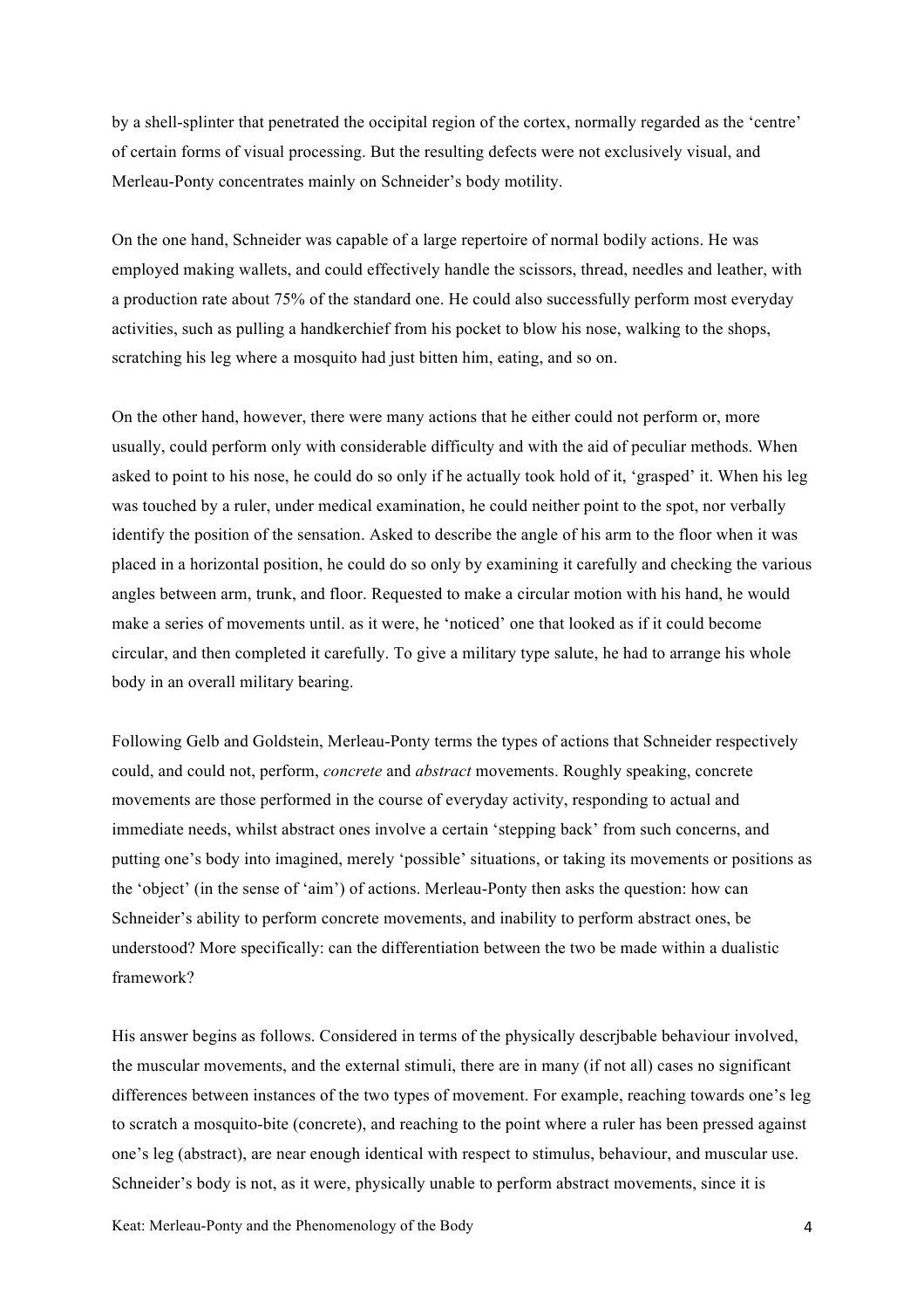by a shell-splinter that penetrated the occipital region of the cortex, normally regarded as the 'centre' of certain forms of visual processing. But the resulting defects were not exclusively visual, and Merleau-Ponty concentrates mainly on Schneider's body motility.

On the one hand, Schneider was capable of a large repertoire of normal bodily actions. He was employed making wallets, and could effectively handle the scissors, thread, needles and leather, with a production rate about 75% of the standard one. He could also successfully perform most everyday activities, such as pulling a handkerchief from his pocket to blow his nose, walking to the shops, scratching his leg where a mosquito had just bitten him, eating, and so on.

On the other hand, however, there were many actions that he either could not perform or, more usually, could perform only with considerable difficulty and with the aid of peculiar methods. When asked to point to his nose, he could do so only if he actually took hold of it, 'grasped' it. When his leg was touched by a ruler, under medical examination, he could neither point to the spot, nor verbally identify the position of the sensation. Asked to describe the angle of his arm to the floor when it was placed in a horizontal position, he could do so only by examining it carefully and checking the various angles between arm, trunk, and floor. Requested to make a circular motion with his hand, he would make a series of movements until. as it were, he 'noticed' one that looked as if it could become circular, and then completed it carefully. To give a military type salute, he had to arrange his whole body in an overall military bearing.

Following Gelb and Goldstein, Merleau-Ponty terms the types of actions that Schneider respectively could, and could not, perform, *concrete* and *abstract* movements. Roughly speaking, concrete movements are those performed in the course of everyday activity, responding to actual and immediate needs, whilst abstract ones involve a certain 'stepping back' from such concerns, and putting one's body into imagined, merely 'possible' situations, or taking its movements or positions as the 'object' (in the sense of 'aim') of actions. Merleau-Ponty then asks the question: how can Schneider's ability to perform concrete movements, and inability to perform abstract ones, be understood? More specifically: can the differentiation between the two be made within a dualistic framework?

His answer begins as follows. Considered in terms of the physically descrjbable behaviour involved, the muscular movements, and the external stimuli, there are in many (if not all) cases no significant differences between instances of the two types of movement. For example, reaching towards one's leg to scratch a mosquito-bite (concrete), and reaching to the point where a ruler has been pressed against one's leg (abstract), are near enough identical with respect to stimulus, behaviour, and muscular use. Schneider's body is not, as it were, physically unable to perform abstract movements, since it is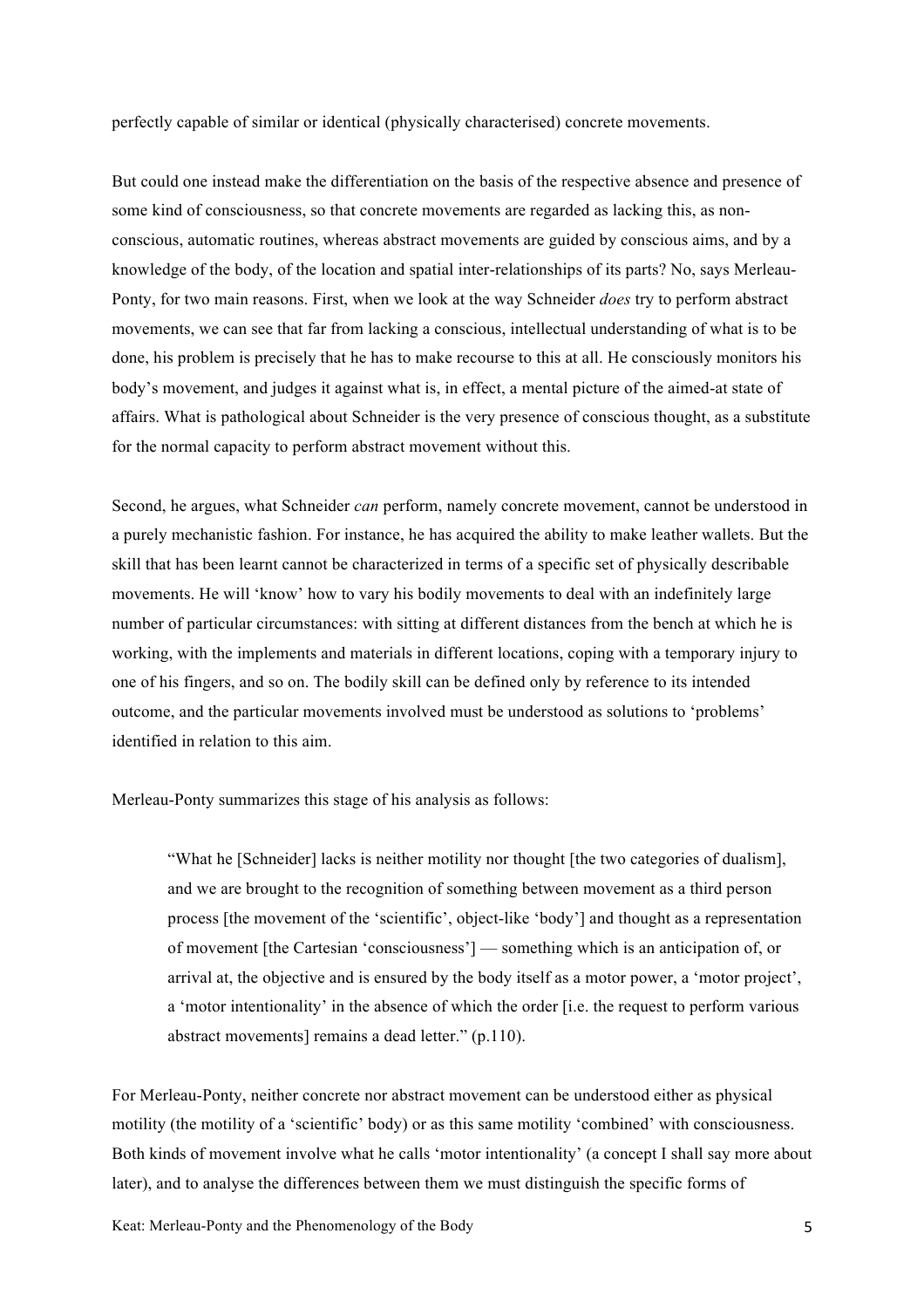perfectly capable of similar or identical (physically characterised) concrete movements.

But could one instead make the differentiation on the basis of the respective absence and presence of some kind of consciousness, so that concrete movements are regarded as lacking this, as nonconscious, automatic routines, whereas abstract movements are guided by conscious aims, and by a knowledge of the body, of the location and spatial inter-relationships of its parts? No, says Merleau-Ponty, for two main reasons. First, when we look at the way Schneider *does* try to perform abstract movements, we can see that far from lacking a conscious, intellectual understanding of what is to be done, his problem is precisely that he has to make recourse to this at all. He consciously monitors his body's movement, and judges it against what is, in effect, a mental picture of the aimed-at state of affairs. What is pathological about Schneider is the very presence of conscious thought, as a substitute for the normal capacity to perform abstract movement without this.

Second, he argues, what Schneider *can* perform, namely concrete movement, cannot be understood in a purely mechanistic fashion. For instance, he has acquired the ability to make leather wallets. But the skill that has been learnt cannot be characterized in terms of a specific set of physically describable movements. He will 'know' how to vary his bodily movements to deal with an indefinitely large number of particular circumstances: with sitting at different distances from the bench at which he is working, with the implements and materials in different locations, coping with a temporary injury to one of his fingers, and so on. The bodily skill can be defined only by reference to its intended outcome, and the particular movements involved must be understood as solutions to 'problems' identified in relation to this aim.

Merleau-Ponty summarizes this stage of his analysis as follows:

"What he [Schneider] lacks is neither motility nor thought [the two categories of dualism], and we are brought to the recognition of something between movement as a third person process [the movement of the 'scientific', object-like 'body'] and thought as a representation of movement [the Cartesian 'consciousness'] — something which is an anticipation of, or arrival at, the objective and is ensured by the body itself as a motor power, a 'motor project', a 'motor intentionality' in the absence of which the order [i.e. the request to perform various abstract movements] remains a dead letter." (p.110).

For Merleau-Ponty, neither concrete nor abstract movement can be understood either as physical motility (the motility of a 'scientific' body) or as this same motility 'combined' with consciousness. Both kinds of movement involve what he calls 'motor intentionality' (a concept I shall say more about later), and to analyse the differences between them we must distinguish the specific forms of

Keat: Merleau-Ponty and the Phenomenology of the Body 5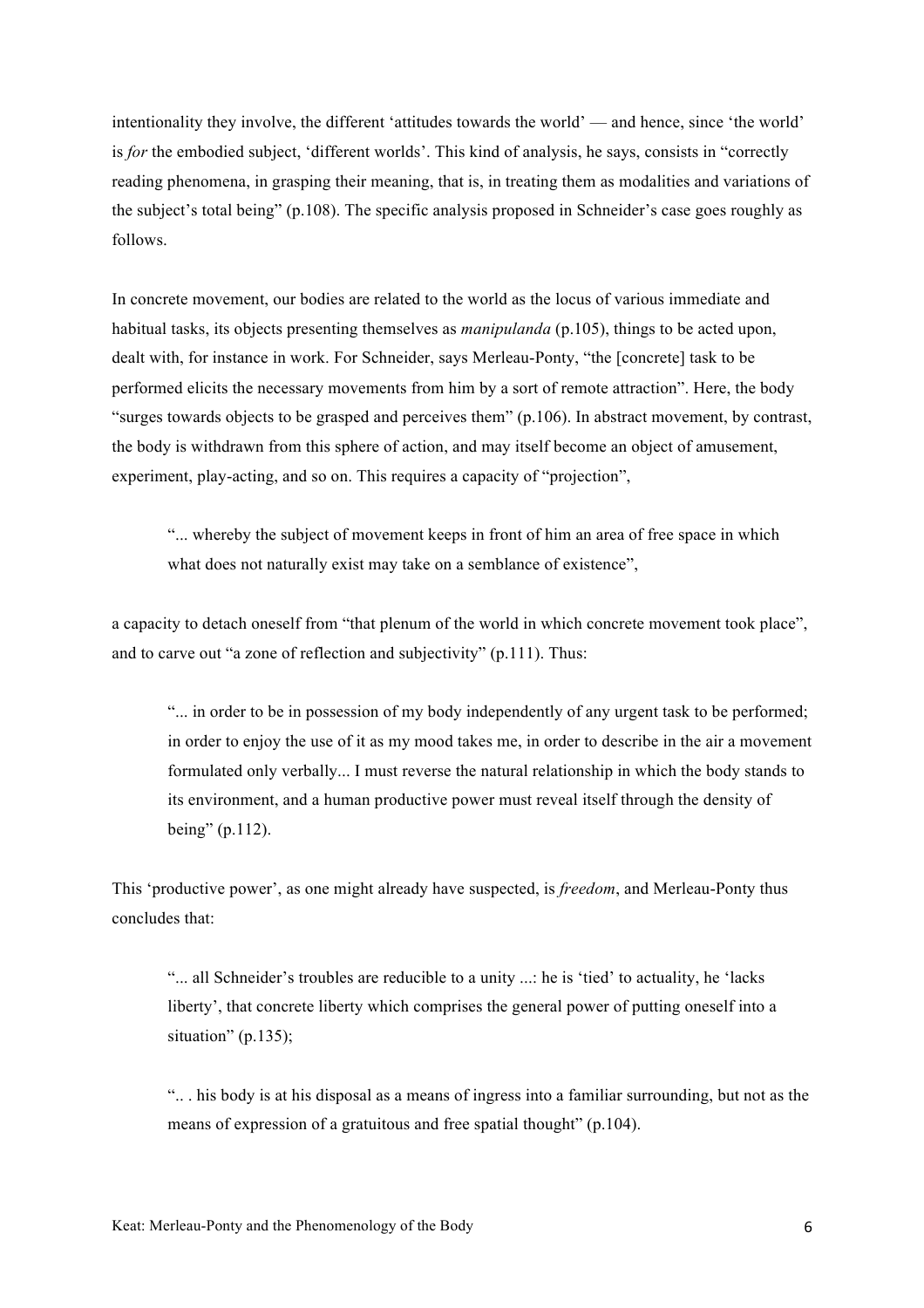intentionality they involve, the different 'attitudes towards the world' — and hence, since 'the world' is *for* the embodied subject, 'different worlds'. This kind of analysis, he says, consists in "correctly reading phenomena, in grasping their meaning, that is, in treating them as modalities and variations of the subject's total being" (p.108). The specific analysis proposed in Schneider's case goes roughly as follows.

In concrete movement, our bodies are related to the world as the locus of various immediate and habitual tasks, its objects presenting themselves as *manipulanda* (p.105), things to be acted upon, dealt with, for instance in work. For Schneider, says Merleau-Ponty, "the [concrete] task to be performed elicits the necessary movements from him by a sort of remote attraction". Here, the body "surges towards objects to be grasped and perceives them"  $(p.106)$ . In abstract movement, by contrast, the body is withdrawn from this sphere of action, and may itself become an object of amusement, experiment, play-acting, and so on. This requires a capacity of "projection",

"... whereby the subject of movement keeps in front of him an area of free space in which what does not naturally exist may take on a semblance of existence",

a capacity to detach oneself from "that plenum of the world in which concrete movement took place", and to carve out "a zone of reflection and subjectivity" (p.111). Thus:

"... in order to be in possession of my body independently of any urgent task to be performed; in order to enjoy the use of it as my mood takes me, in order to describe in the air a movement formulated only verbally... I must reverse the natural relationship in which the body stands to its environment, and a human productive power must reveal itself through the density of being" (p.112).

This 'productive power', as one might already have suspected, is *freedom*, and Merleau-Ponty thus concludes that:

"... all Schneider's troubles are reducible to a unity ...: he is 'tied' to actuality, he 'lacks liberty', that concrete liberty which comprises the general power of putting oneself into a situation" (p.135);

".. . his body is at his disposal as a means of ingress into a familiar surrounding, but not as the means of expression of a gratuitous and free spatial thought" (p.104).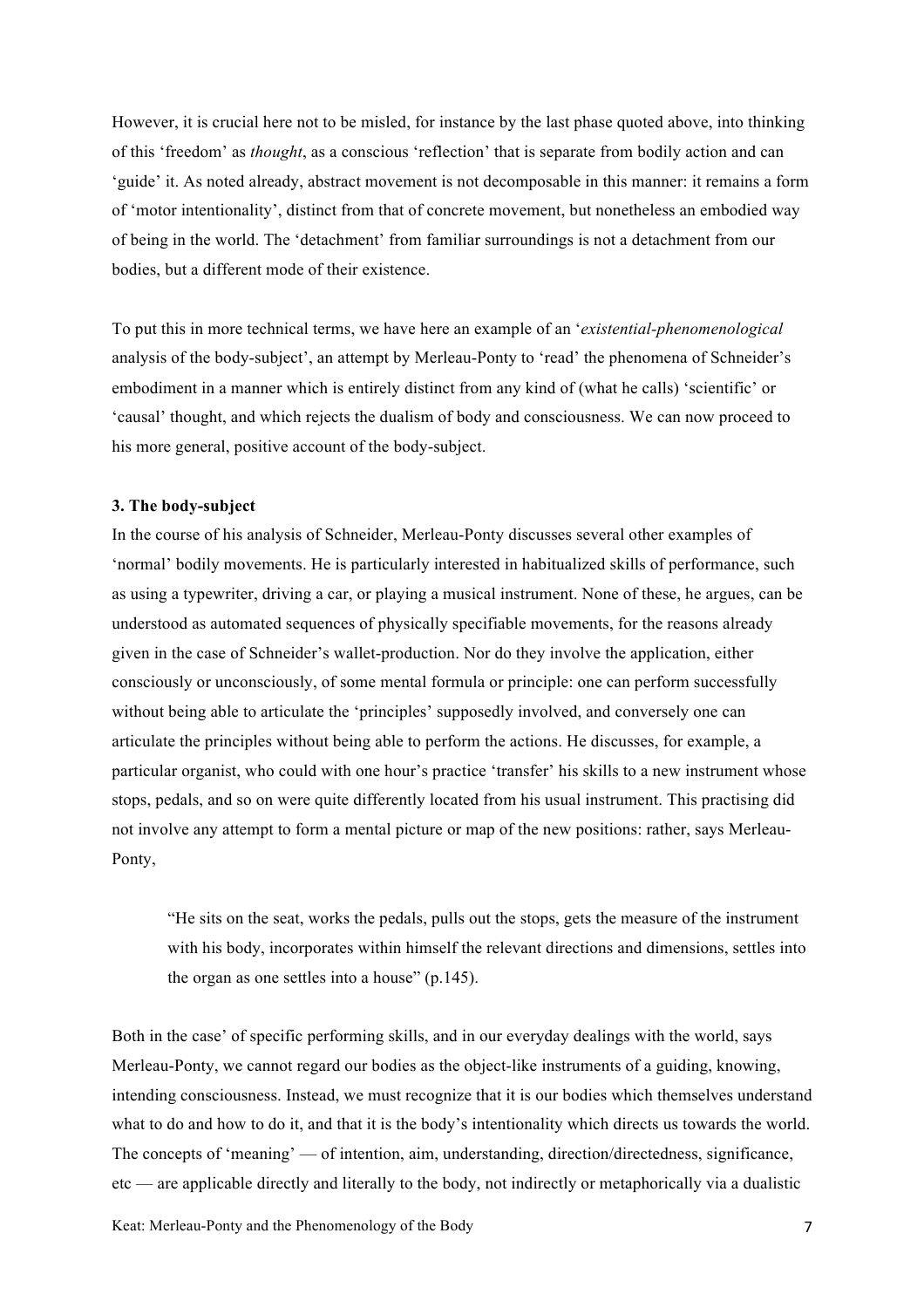However, it is crucial here not to be misled, for instance by the last phase quoted above, into thinking of this 'freedom' as *thought*, as a conscious 'reflection' that is separate from bodily action and can 'guide' it. As noted already, abstract movement is not decomposable in this manner: it remains a form of 'motor intentionality', distinct from that of concrete movement, but nonetheless an embodied way of being in the world. The 'detachment' from familiar surroundings is not a detachment from our bodies, but a different mode of their existence.

To put this in more technical terms, we have here an example of an '*existential-phenomenological* analysis of the body-subject', an attempt by Merleau-Ponty to 'read' the phenomena of Schneider's embodiment in a manner which is entirely distinct from any kind of (what he calls) 'scientific' or 'causal' thought, and which rejects the dualism of body and consciousness. We can now proceed to his more general, positive account of the body-subject.

### **3. The body-subject**

In the course of his analysis of Schneider, Merleau-Ponty discusses several other examples of 'normal' bodily movements. He is particularly interested in habitualized skills of performance, such as using a typewriter, driving a car, or playing a musical instrument. None of these, he argues, can be understood as automated sequences of physically specifiable movements, for the reasons already given in the case of Schneider's wallet-production. Nor do they involve the application, either consciously or unconsciously, of some mental formula or principle: one can perform successfully without being able to articulate the 'principles' supposedly involved, and conversely one can articulate the principles without being able to perform the actions. He discusses, for example, a particular organist, who could with one hour's practice 'transfer' his skills to a new instrument whose stops, pedals, and so on were quite differently located from his usual instrument. This practising did not involve any attempt to form a mental picture or map of the new positions: rather, says Merleau-Ponty,

"He sits on the seat, works the pedals, pulls out the stops, gets the measure of the instrument with his body, incorporates within himself the relevant directions and dimensions, settles into the organ as one settles into a house" (p.145).

Both in the case' of specific performing skills, and in our everyday dealings with the world, says Merleau-Ponty, we cannot regard our bodies as the object-like instruments of a guiding, knowing, intending consciousness. Instead, we must recognize that it is our bodies which themselves understand what to do and how to do it, and that it is the body's intentionality which directs us towards the world. The concepts of 'meaning' — of intention, aim, understanding, direction/directedness, significance, etc — are applicable directly and literally to the body, not indirectly or metaphorically via a dualistic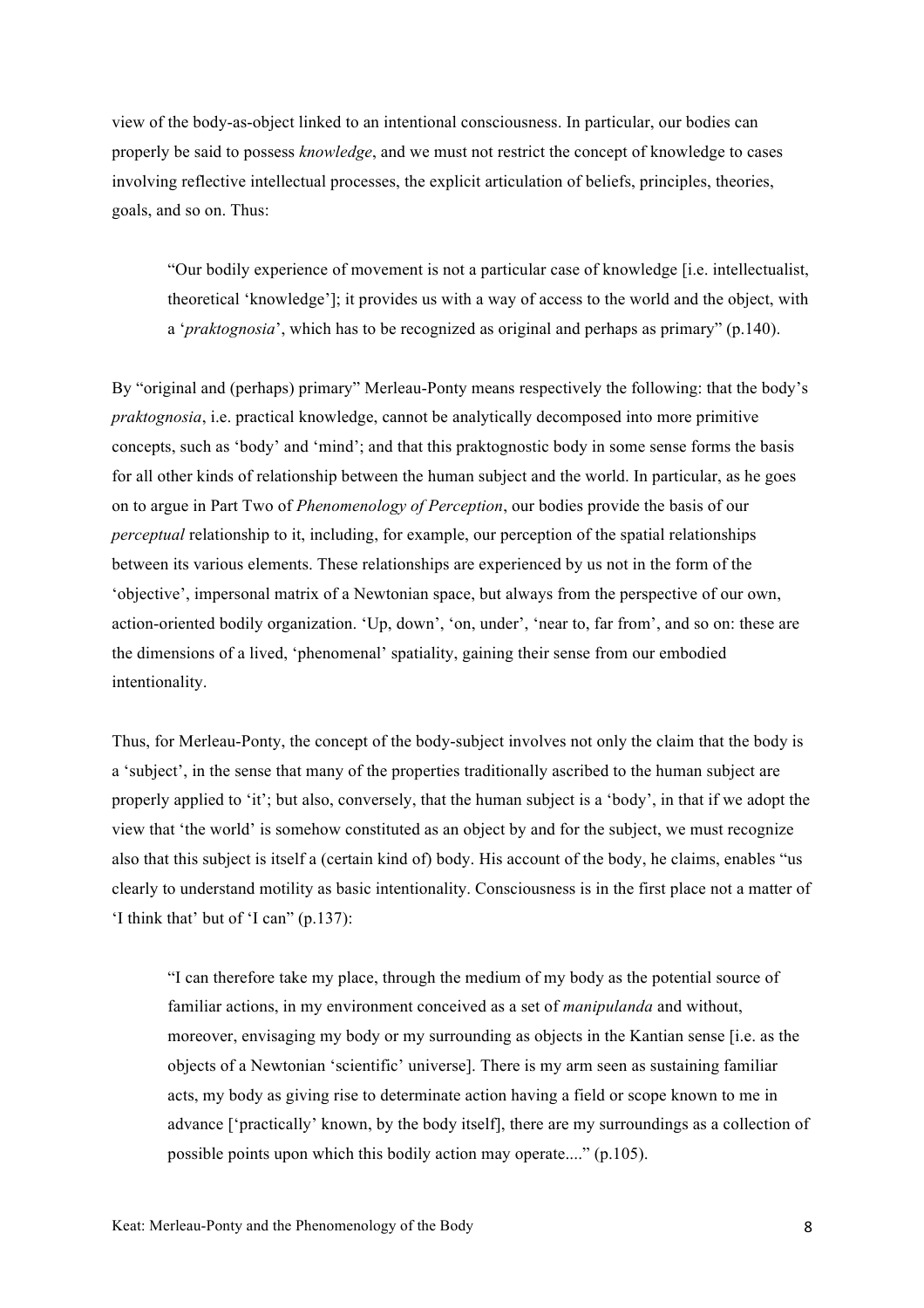view of the body-as-object linked to an intentional consciousness. In particular, our bodies can properly be said to possess *knowledge*, and we must not restrict the concept of knowledge to cases involving reflective intellectual processes, the explicit articulation of beliefs, principles, theories, goals, and so on. Thus:

"Our bodily experience of movement is not a particular case of knowledge [i.e. intellectualist, theoretical 'knowledge']; it provides us with a way of access to the world and the object, with a '*praktognosia*', which has to be recognized as original and perhaps as primary" (p.140).

By "original and (perhaps) primary" Merleau-Ponty means respectively the following: that the body's *praktognosia*, i.e. practical knowledge, cannot be analytically decomposed into more primitive concepts, such as 'body' and 'mind'; and that this praktognostic body in some sense forms the basis for all other kinds of relationship between the human subject and the world. In particular, as he goes on to argue in Part Two of *Phenomenology of Perception*, our bodies provide the basis of our *perceptual* relationship to it, including, for example, our perception of the spatial relationships between its various elements. These relationships are experienced by us not in the form of the 'objective', impersonal matrix of a Newtonian space, but always from the perspective of our own, action-oriented bodily organization. 'Up, down', 'on, under', 'near to, far from', and so on: these are the dimensions of a lived, 'phenomenal' spatiality, gaining their sense from our embodied intentionality.

Thus, for Merleau-Ponty, the concept of the body-subject involves not only the claim that the body is a 'subject', in the sense that many of the properties traditionally ascribed to the human subject are properly applied to 'it'; but also, conversely, that the human subject is a 'body', in that if we adopt the view that 'the world' is somehow constituted as an object by and for the subject, we must recognize also that this subject is itself a (certain kind of) body. His account of the body, he claims, enables "us clearly to understand motility as basic intentionality. Consciousness is in the first place not a matter of 'I think that' but of 'I can" (p.137):

"I can therefore take my place, through the medium of my body as the potential source of familiar actions, in my environment conceived as a set of *manipulanda* and without, moreover, envisaging my body or my surrounding as objects in the Kantian sense [i.e. as the objects of a Newtonian 'scientific' universe]. There is my arm seen as sustaining familiar acts, my body as giving rise to determinate action having a field or scope known to me in advance ['practically' known, by the body itself], there are my surroundings as a collection of possible points upon which this bodily action may operate...." (p.105).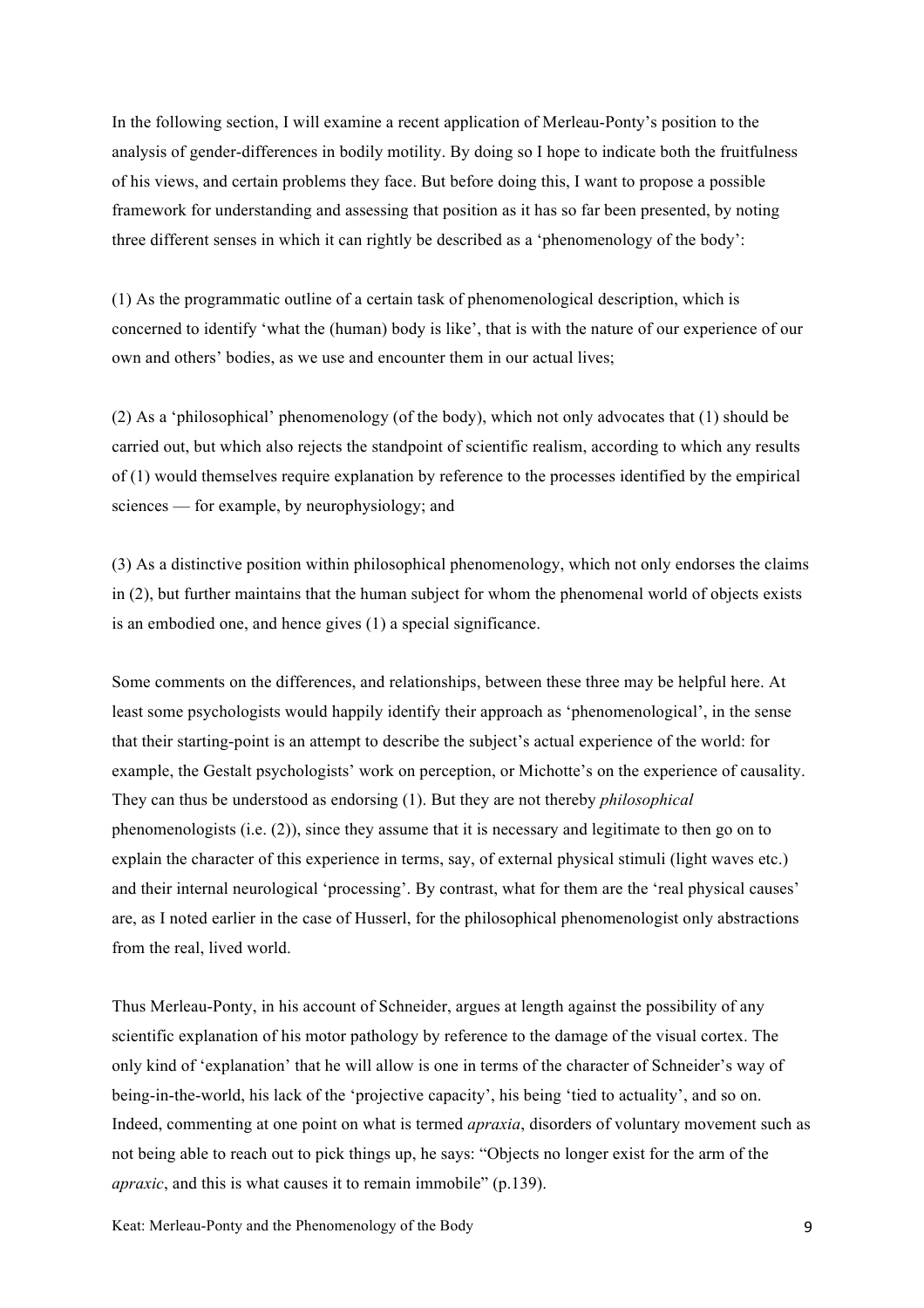In the following section, I will examine a recent application of Merleau-Ponty's position to the analysis of gender-differences in bodily motility. By doing so I hope to indicate both the fruitfulness of his views, and certain problems they face. But before doing this, I want to propose a possible framework for understanding and assessing that position as it has so far been presented, by noting three different senses in which it can rightly be described as a 'phenomenology of the body':

(1) As the programmatic outline of a certain task of phenomenological description, which is concerned to identify 'what the (human) body is like', that is with the nature of our experience of our own and others' bodies, as we use and encounter them in our actual lives;

(2) As a 'philosophical' phenomenology (of the body), which not only advocates that (1) should be carried out, but which also rejects the standpoint of scientific realism, according to which any results of (1) would themselves require explanation by reference to the processes identified by the empirical sciences — for example, by neurophysiology; and

(3) As a distinctive position within philosophical phenomenology, which not only endorses the claims in (2), but further maintains that the human subject for whom the phenomenal world of objects exists is an embodied one, and hence gives (1) a special significance.

Some comments on the differences, and relationships, between these three may be helpful here. At least some psychologists would happily identify their approach as 'phenomenological', in the sense that their starting-point is an attempt to describe the subject's actual experience of the world: for example, the Gestalt psychologists' work on perception, or Michotte's on the experience of causality. They can thus be understood as endorsing (1). But they are not thereby *philosophical* phenomenologists (i.e. (2)), since they assume that it is necessary and legitimate to then go on to explain the character of this experience in terms, say, of external physical stimuli (light waves etc.) and their internal neurological 'processing'. By contrast, what for them are the 'real physical causes' are, as I noted earlier in the case of Husserl, for the philosophical phenomenologist only abstractions from the real, lived world.

Thus Merleau-Ponty, in his account of Schneider, argues at length against the possibility of any scientific explanation of his motor pathology by reference to the damage of the visual cortex. The only kind of 'explanation' that he will allow is one in terms of the character of Schneider's way of being-in-the-world, his lack of the 'projective capacity', his being 'tied to actuality', and so on. Indeed, commenting at one point on what is termed *apraxia*, disorders of voluntary movement such as not being able to reach out to pick things up, he says: "Objects no longer exist for the arm of the *apraxic*, and this is what causes it to remain immobile" (p.139).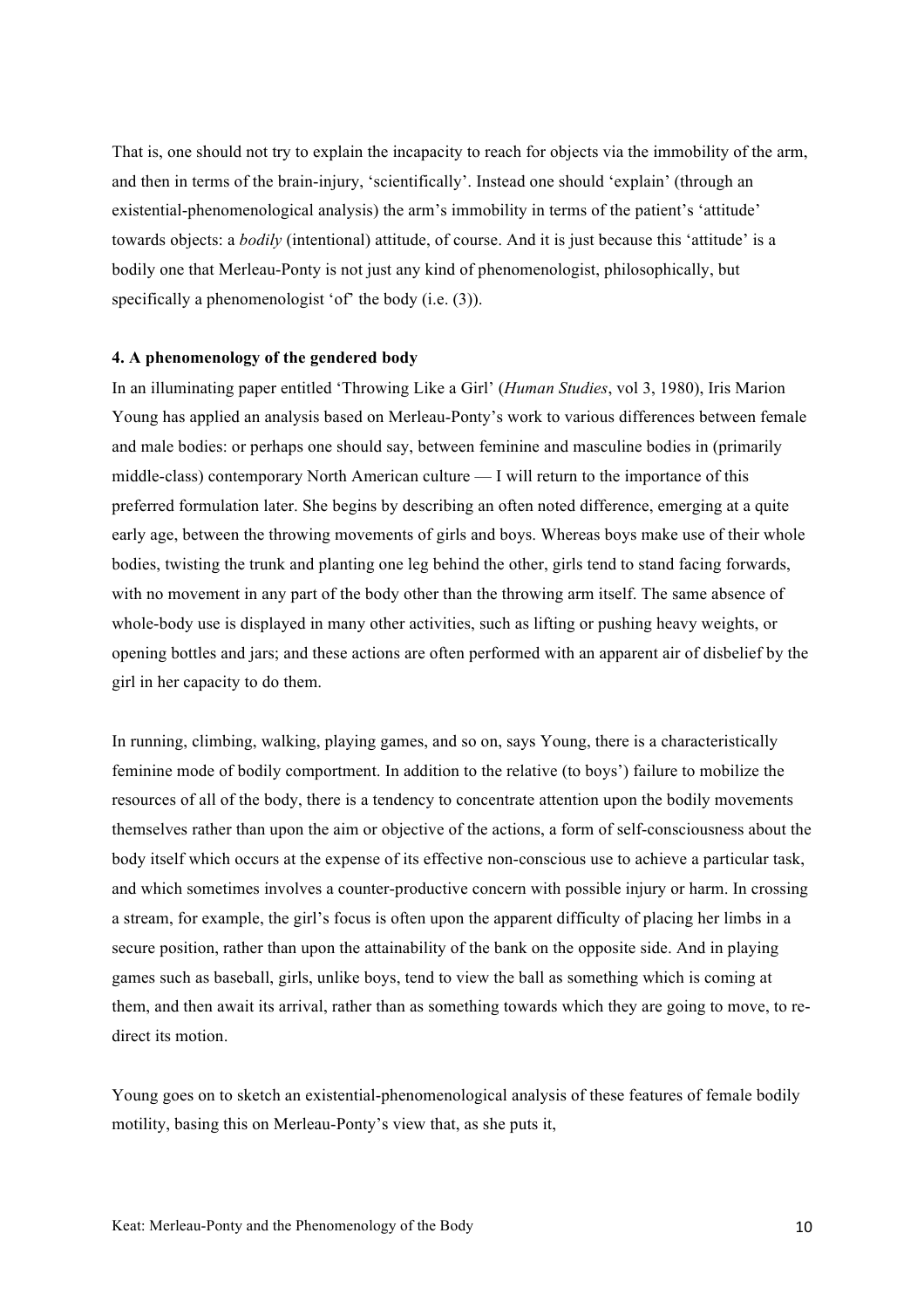That is, one should not try to explain the incapacity to reach for objects via the immobility of the arm, and then in terms of the brain-injury, 'scientifically'. Instead one should 'explain' (through an existential-phenomenological analysis) the arm's immobility in terms of the patient's 'attitude' towards objects: a *bodily* (intentional) attitude, of course. And it is just because this 'attitude' is a bodily one that Merleau-Ponty is not just any kind of phenomenologist, philosophically, but specifically a phenomenologist 'of' the body (i.e. (3)).

### **4. A phenomenology of the gendered body**

In an illuminating paper entitled 'Throwing Like a Girl' (*Human Studies*, vol 3, 1980), Iris Marion Young has applied an analysis based on Merleau-Ponty's work to various differences between female and male bodies: or perhaps one should say, between feminine and masculine bodies in (primarily middle-class) contemporary North American culture — I will return to the importance of this preferred formulation later. She begins by describing an often noted difference, emerging at a quite early age, between the throwing movements of girls and boys. Whereas boys make use of their whole bodies, twisting the trunk and planting one leg behind the other, girls tend to stand facing forwards, with no movement in any part of the body other than the throwing arm itself. The same absence of whole-body use is displayed in many other activities, such as lifting or pushing heavy weights, or opening bottles and jars; and these actions are often performed with an apparent air of disbelief by the girl in her capacity to do them.

In running, climbing, walking, playing games, and so on, says Young, there is a characteristically feminine mode of bodily comportment. In addition to the relative (to boys') failure to mobilize the resources of all of the body, there is a tendency to concentrate attention upon the bodily movements themselves rather than upon the aim or objective of the actions, a form of self-consciousness about the body itself which occurs at the expense of its effective non-conscious use to achieve a particular task, and which sometimes involves a counter-productive concern with possible injury or harm. In crossing a stream, for example, the girl's focus is often upon the apparent difficulty of placing her limbs in a secure position, rather than upon the attainability of the bank on the opposite side. And in playing games such as baseball, girls, unlike boys, tend to view the ball as something which is coming at them, and then await its arrival, rather than as something towards which they are going to move, to redirect its motion

Young goes on to sketch an existential-phenomenological analysis of these features of female bodily motility, basing this on Merleau-Ponty's view that, as she puts it,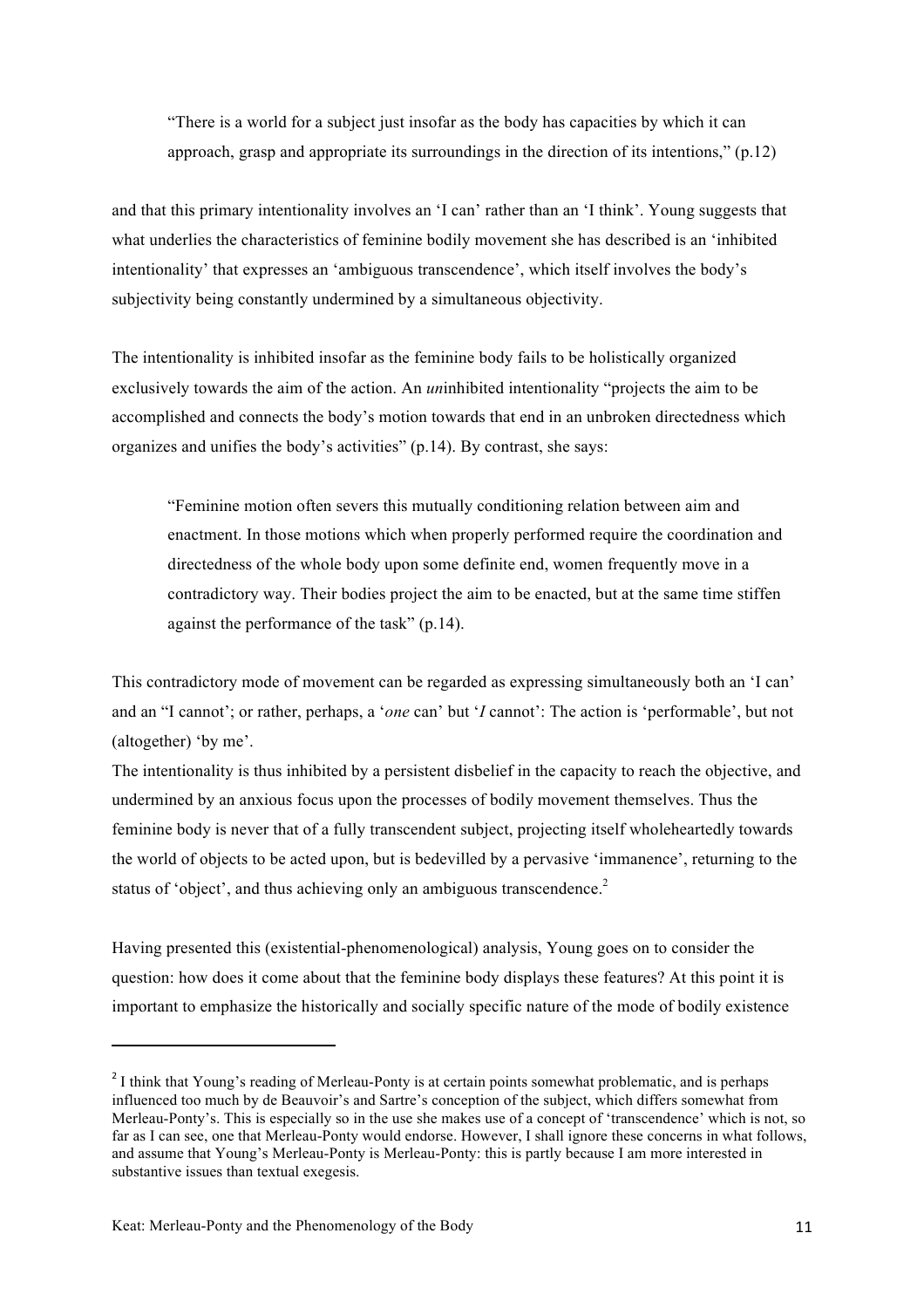"There is a world for a subject just insofar as the body has capacities by which it can approach, grasp and appropriate its surroundings in the direction of its intentions," (p.12)

and that this primary intentionality involves an 'I can' rather than an 'I think'. Young suggests that what underlies the characteristics of feminine bodily movement she has described is an 'inhibited intentionality' that expresses an 'ambiguous transcendence', which itself involves the body's subjectivity being constantly undermined by a simultaneous objectivity.

The intentionality is inhibited insofar as the feminine body fails to be holistically organized exclusively towards the aim of the action. An *un*inhibited intentionality "projects the aim to be accomplished and connects the body's motion towards that end in an unbroken directedness which organizes and unifies the body's activities" (p.14). By contrast, she says:

"Feminine motion often severs this mutually conditioning relation between aim and enactment. In those motions which when properly performed require the coordination and directedness of the whole body upon some definite end, women frequently move in a contradictory way. Their bodies project the aim to be enacted, but at the same time stiffen against the performance of the task" (p.14).

This contradictory mode of movement can be regarded as expressing simultaneously both an 'I can' and an "I cannot'; or rather, perhaps, a '*one* can' but '*I* cannot': The action is 'performable', but not (altogether) 'by me'.

The intentionality is thus inhibited by a persistent disbelief in the capacity to reach the objective, and undermined by an anxious focus upon the processes of bodily movement themselves. Thus the feminine body is never that of a fully transcendent subject, projecting itself wholeheartedly towards the world of objects to be acted upon, but is bedevilled by a pervasive 'immanence', returning to the status of 'object', and thus achieving only an ambiguous transcendence.<sup>2</sup>

Having presented this (existential-phenomenological) analysis, Young goes on to consider the question: how does it come about that the feminine body displays these features? At this point it is important to emphasize the historically and socially specific nature of the mode of bodily existence

<sup>&</sup>lt;sup>2</sup> I think that Young's reading of Merleau-Ponty is at certain points somewhat problematic, and is perhaps influenced too much by de Beauvoir's and Sartre's conception of the subject, which differs somewhat from Merleau-Ponty's. This is especially so in the use she makes use of a concept of 'transcendence' which is not, so far as I can see, one that Merleau-Ponty would endorse. However, I shall ignore these concerns in what follows, and assume that Young's Merleau-Ponty is Merleau-Ponty: this is partly because I am more interested in substantive issues than textual exegesis.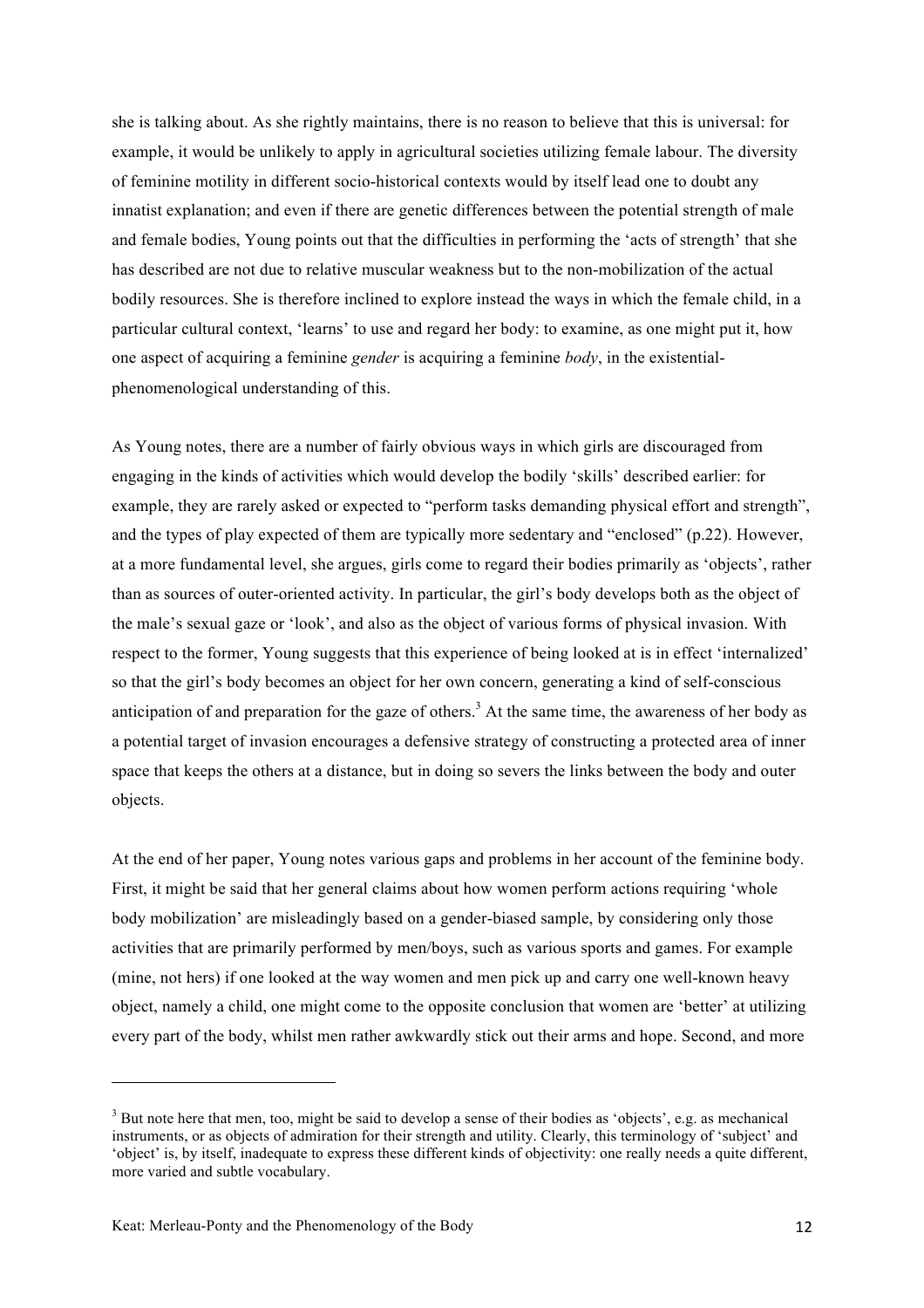she is talking about. As she rightly maintains, there is no reason to believe that this is universal: for example, it would be unlikely to apply in agricultural societies utilizing female labour. The diversity of feminine motility in different socio-historical contexts would by itself lead one to doubt any innatist explanation; and even if there are genetic differences between the potential strength of male and female bodies, Young points out that the difficulties in performing the 'acts of strength' that she has described are not due to relative muscular weakness but to the non-mobilization of the actual bodily resources. She is therefore inclined to explore instead the ways in which the female child, in a particular cultural context, 'learns' to use and regard her body: to examine, as one might put it, how one aspect of acquiring a feminine *gender* is acquiring a feminine *body*, in the existentialphenomenological understanding of this.

As Young notes, there are a number of fairly obvious ways in which girls are discouraged from engaging in the kinds of activities which would develop the bodily 'skills' described earlier: for example, they are rarely asked or expected to "perform tasks demanding physical effort and strength", and the types of play expected of them are typically more sedentary and "enclosed" (p.22). However, at a more fundamental level, she argues, girls come to regard their bodies primarily as 'objects', rather than as sources of outer-oriented activity. In particular, the girl's body develops both as the object of the male's sexual gaze or 'look', and also as the object of various forms of physical invasion. With respect to the former, Young suggests that this experience of being looked at is in effect 'internalized' so that the girl's body becomes an object for her own concern, generating a kind of self-conscious anticipation of and preparation for the gaze of others.<sup>3</sup> At the same time, the awareness of her body as a potential target of invasion encourages a defensive strategy of constructing a protected area of inner space that keeps the others at a distance, but in doing so severs the links between the body and outer objects.

At the end of her paper, Young notes various gaps and problems in her account of the feminine body. First, it might be said that her general claims about how women perform actions requiring 'whole body mobilization' are misleadingly based on a gender-biased sample, by considering only those activities that are primarily performed by men/boys, such as various sports and games. For example (mine, not hers) if one looked at the way women and men pick up and carry one well-known heavy object, namely a child, one might come to the opposite conclusion that women are 'better' at utilizing every part of the body, whilst men rather awkwardly stick out their arms and hope. Second, and more

<u> 1989 - Johann Stein, fransk politik (d. 1989)</u>

 $3$  But note here that men, too, might be said to develop a sense of their bodies as 'objects', e.g. as mechanical instruments, or as objects of admiration for their strength and utility. Clearly, this terminology of 'subject' and 'object' is, by itself, inadequate to express these different kinds of objectivity: one really needs a quite different, more varied and subtle vocabulary.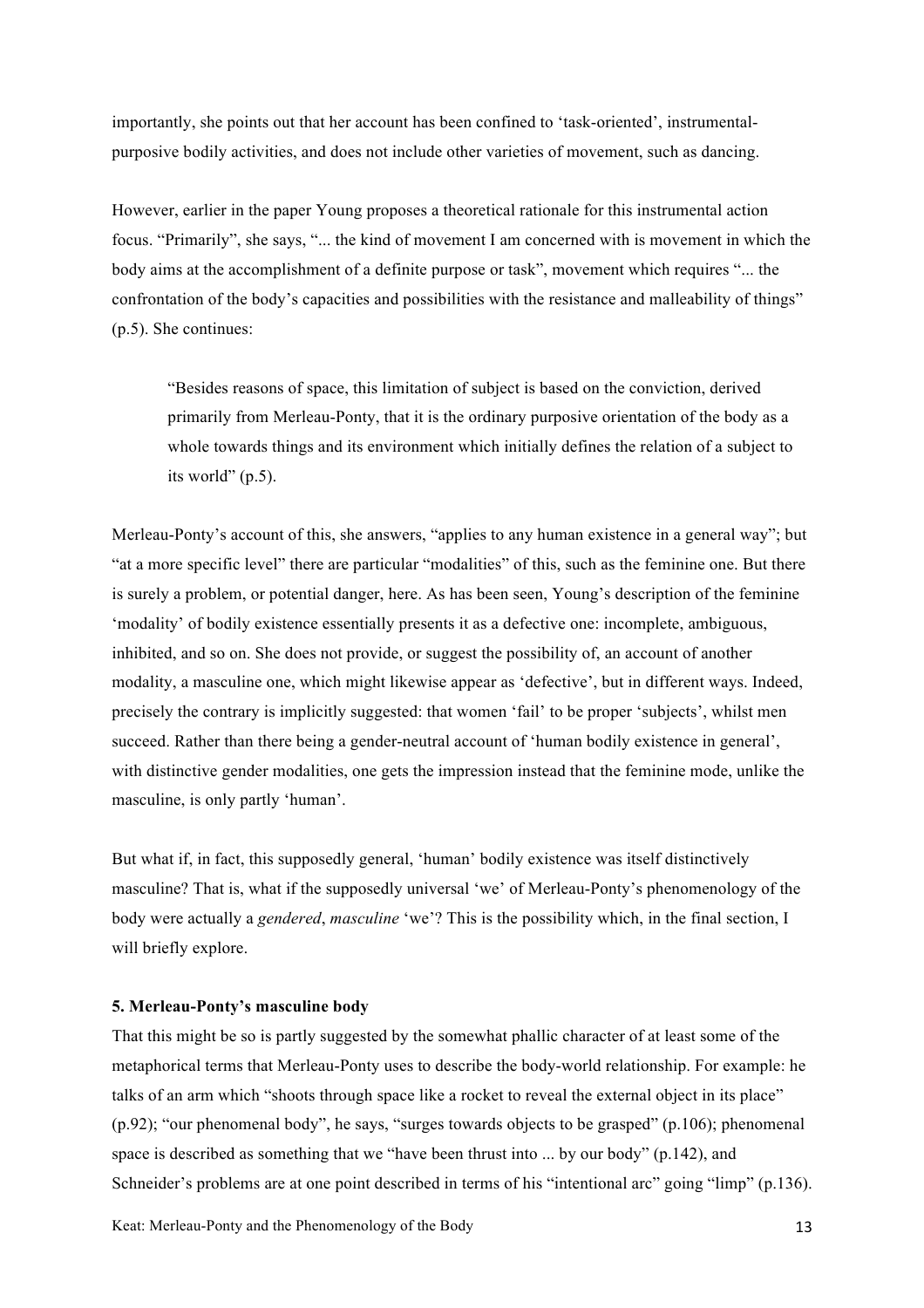importantly, she points out that her account has been confined to 'task-oriented', instrumentalpurposive bodily activities, and does not include other varieties of movement, such as dancing.

However, earlier in the paper Young proposes a theoretical rationale for this instrumental action focus. "Primarily", she says, "... the kind of movement I am concerned with is movement in which the body aims at the accomplishment of a definite purpose or task", movement which requires "... the confrontation of the body's capacities and possibilities with the resistance and malleability of things" (p.5). She continues:

"Besides reasons of space, this limitation of subject is based on the conviction, derived primarily from Merleau-Ponty, that it is the ordinary purposive orientation of the body as a whole towards things and its environment which initially defines the relation of a subject to its world" (p.5).

Merleau-Ponty's account of this, she answers, "applies to any human existence in a general way"; but "at a more specific level" there are particular "modalities" of this, such as the feminine one. But there is surely a problem, or potential danger, here. As has been seen, Young's description of the feminine 'modality' of bodily existence essentially presents it as a defective one: incomplete, ambiguous, inhibited, and so on. She does not provide, or suggest the possibility of, an account of another modality, a masculine one, which might likewise appear as 'defective', but in different ways. Indeed, precisely the contrary is implicitly suggested: that women 'fail' to be proper 'subjects', whilst men succeed. Rather than there being a gender-neutral account of 'human bodily existence in general', with distinctive gender modalities, one gets the impression instead that the feminine mode, unlike the masculine, is only partly 'human'.

But what if, in fact, this supposedly general, 'human' bodily existence was itself distinctively masculine? That is, what if the supposedly universal 'we' of Merleau-Ponty's phenomenology of the body were actually a *gendered*, *masculine* 'we'? This is the possibility which, in the final section, I will briefly explore.

#### **5. Merleau-Ponty's masculine body**

That this might be so is partly suggested by the somewhat phallic character of at least some of the metaphorical terms that Merleau-Ponty uses to describe the body-world relationship. For example: he talks of an arm which "shoots through space like a rocket to reveal the external object in its place" (p.92); "our phenomenal body", he says, "surges towards objects to be grasped" (p.106); phenomenal space is described as something that we "have been thrust into ... by our body" (p.142), and Schneider's problems are at one point described in terms of his "intentional arc" going "limp" (p.136).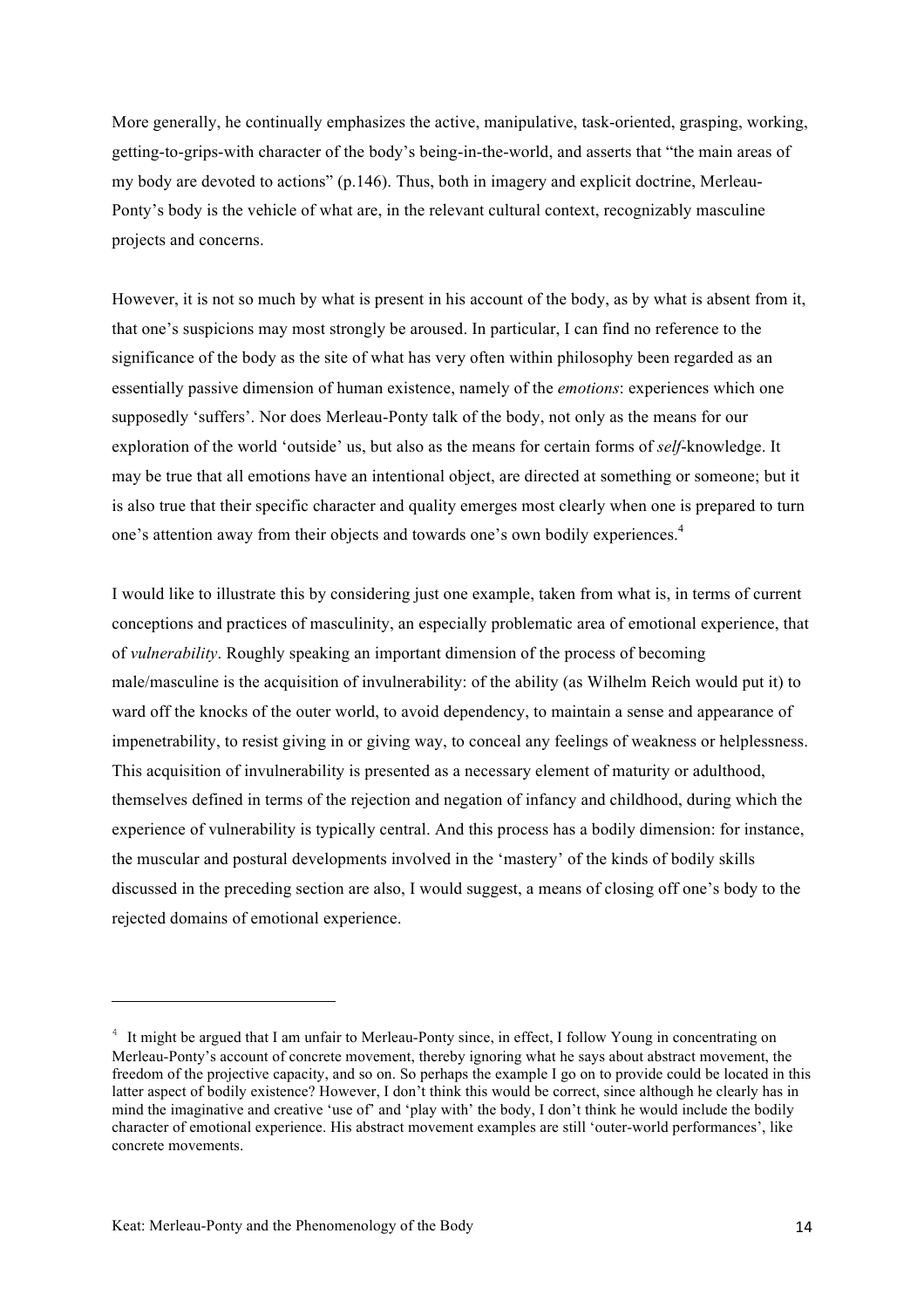More generally, he continually emphasizes the active, manipulative, task-oriented, grasping, working, getting-to-grips-with character of the body's being-in-the-world, and asserts that "the main areas of my body are devoted to actions" (p.146). Thus, both in imagery and explicit doctrine, Merleau-Ponty's body is the vehicle of what are, in the relevant cultural context, recognizably masculine projects and concerns.

However, it is not so much by what is present in his account of the body, as by what is absent from it, that one's suspicions may most strongly be aroused. In particular, I can find no reference to the significance of the body as the site of what has very often within philosophy been regarded as an essentially passive dimension of human existence, namely of the *emotions*: experiences which one supposedly 'suffers'. Nor does Merleau-Ponty talk of the body, not only as the means for our exploration of the world 'outside' us, but also as the means for certain forms of *self*-knowledge. It may be true that all emotions have an intentional object, are directed at something or someone; but it is also true that their specific character and quality emerges most clearly when one is prepared to turn one's attention away from their objects and towards one's own bodily experiences. 4

I would like to illustrate this by considering just one example, taken from what is, in terms of current conceptions and practices of masculinity, an especially problematic area of emotional experience, that of *vulnerability*. Roughly speaking an important dimension of the process of becoming male/masculine is the acquisition of invulnerability: of the ability (as Wilhelm Reich would put it) to ward off the knocks of the outer world, to avoid dependency, to maintain a sense and appearance of impenetrability, to resist giving in or giving way, to conceal any feelings of weakness or helplessness. This acquisition of invulnerability is presented as a necessary element of maturity or adulthood, themselves defined in terms of the rejection and negation of infancy and childhood, during which the experience of vulnerability is typically central. And this process has a bodily dimension: for instance, the muscular and postural developments involved in the 'mastery' of the kinds of bodily skills discussed in the preceding section are also, I would suggest, a means of closing off one's body to the rejected domains of emotional experience.

<u> 1989 - Johann Stein, fransk politik (d. 1989)</u>

<sup>4</sup> It might be argued that I am unfair to Merleau-Ponty since, in effect, I follow Young in concentrating on Merleau-Ponty's account of concrete movement, thereby ignoring what he says about abstract movement, the freedom of the projective capacity, and so on. So perhaps the example I go on to provide could be located in this latter aspect of bodily existence? However, I don't think this would be correct, since although he clearly has in mind the imaginative and creative 'use of' and 'play with' the body, I don't think he would include the bodily character of emotional experience. His abstract movement examples are still 'outer-world performances', like concrete movements.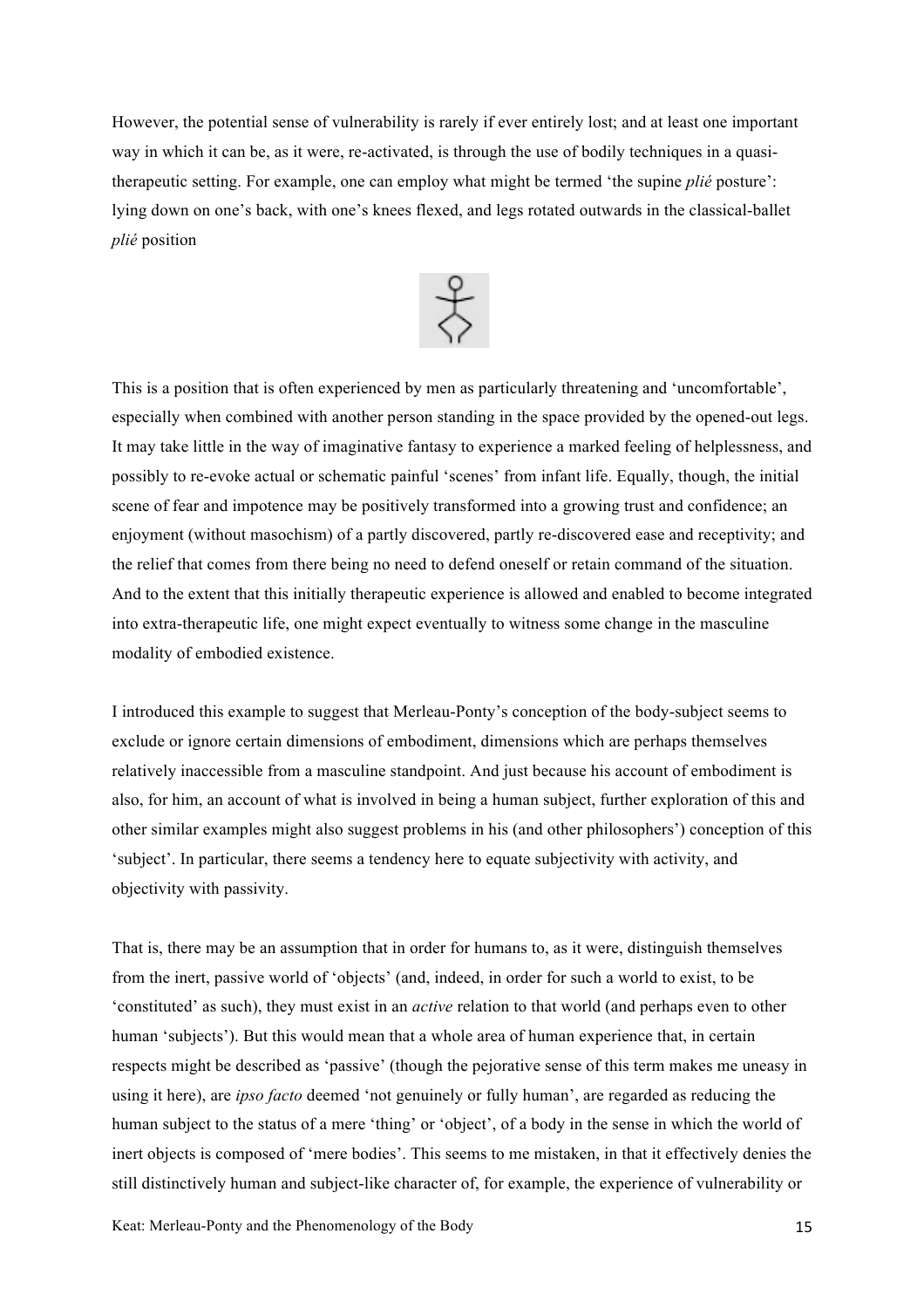However, the potential sense of vulnerability is rarely if ever entirely lost; and at least one important way in which it can be, as it were, re-activated, is through the use of bodily techniques in a quasitherapeutic setting. For example, one can employ what might be termed 'the supine *plié* posture': lying down on one's back, with one's knees flexed, and legs rotated outwards in the classical-ballet *plié* position



This is a position that is often experienced by men as particularly threatening and 'uncomfortable', especially when combined with another person standing in the space provided by the opened-out legs. It may take little in the way of imaginative fantasy to experience a marked feeling of helplessness, and possibly to re-evoke actual or schematic painful 'scenes' from infant life. Equally, though, the initial scene of fear and impotence may be positively transformed into a growing trust and confidence; an enjoyment (without masochism) of a partly discovered, partly re-discovered ease and receptivity; and the relief that comes from there being no need to defend oneself or retain command of the situation. And to the extent that this initially therapeutic experience is allowed and enabled to become integrated into extra-therapeutic life, one might expect eventually to witness some change in the masculine modality of embodied existence.

I introduced this example to suggest that Merleau-Ponty's conception of the body-subject seems to exclude or ignore certain dimensions of embodiment, dimensions which are perhaps themselves relatively inaccessible from a masculine standpoint. And just because his account of embodiment is also, for him, an account of what is involved in being a human subject, further exploration of this and other similar examples might also suggest problems in his (and other philosophers') conception of this 'subject'. In particular, there seems a tendency here to equate subjectivity with activity, and objectivity with passivity.

That is, there may be an assumption that in order for humans to, as it were, distinguish themselves from the inert, passive world of 'objects' (and, indeed, in order for such a world to exist, to be 'constituted' as such), they must exist in an *active* relation to that world (and perhaps even to other human 'subjects'). But this would mean that a whole area of human experience that, in certain respects might be described as 'passive' (though the pejorative sense of this term makes me uneasy in using it here), are *ipso facto* deemed 'not genuinely or fully human', are regarded as reducing the human subject to the status of a mere 'thing' or 'object', of a body in the sense in which the world of inert objects is composed of 'mere bodies'. This seems to me mistaken, in that it effectively denies the still distinctively human and subject-like character of, for example, the experience of vulnerability or